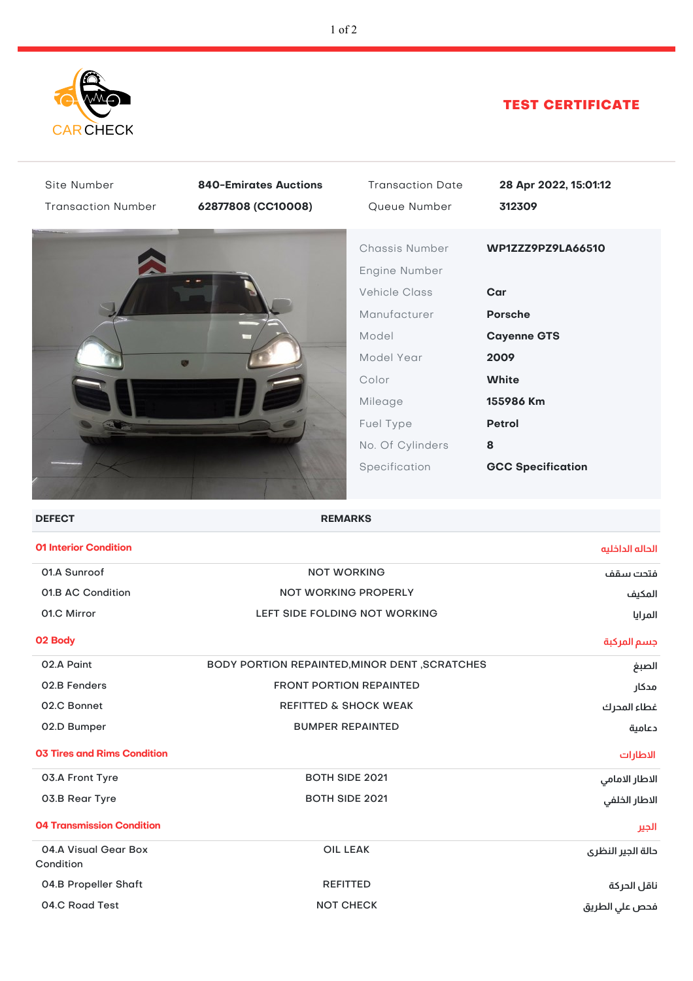

## TEST CERTIFICATE

| Site Number<br><b>Transaction Number</b> | <b>840-Emirates Auctions</b><br>62877808 (CC10008) | <b>Transaction Date</b><br>Queue Number                                                                                                                              | 28 Apr 2022, 15:01:12<br>312309                                                                                                                         |
|------------------------------------------|----------------------------------------------------|----------------------------------------------------------------------------------------------------------------------------------------------------------------------|---------------------------------------------------------------------------------------------------------------------------------------------------------|
|                                          |                                                    | Chassis Number<br>Engine Number<br><b>Vehicle Class</b><br>Manufacturer<br>Model<br>Model Year<br>Color<br>Mileage<br>Fuel Type<br>No. Of Cylinders<br>Specification | WP1ZZZ9PZ9LA66510<br>Car<br><b>Porsche</b><br><b>Cayenne GTS</b><br>2009<br><b>White</b><br>155986 Km<br><b>Petrol</b><br>8<br><b>GCC Specification</b> |
| <b>DEFECT</b>                            | <b>REMARKS</b>                                     |                                                                                                                                                                      |                                                                                                                                                         |
| <b>01 Interior Condition</b>             |                                                    |                                                                                                                                                                      | الحاله الداخليه                                                                                                                                         |
| 01.A Sunroof                             | <b>NOT WORKING</b>                                 |                                                                                                                                                                      | فتحت سقف                                                                                                                                                |
| 01.B AC Condition                        | <b>NOT WORKING PROPERLY</b>                        |                                                                                                                                                                      | المكيف                                                                                                                                                  |
| 01.C Mirror                              | LEFT SIDE FOLDING NOT WORKING                      |                                                                                                                                                                      | المرايا                                                                                                                                                 |
| 02 Body                                  |                                                    |                                                                                                                                                                      | جسم المركبة                                                                                                                                             |
| 02.A Paint                               | BODY PORTION REPAINTED, MINOR DENT, SCRATCHES      |                                                                                                                                                                      | الصبغ                                                                                                                                                   |
| 02.B Fenders                             | <b>FRONT PORTION REPAINTED</b><br>مدكار            |                                                                                                                                                                      |                                                                                                                                                         |
| 02.C Bonnet                              | <b>REFITTED &amp; SHOCK WEAK</b>                   |                                                                                                                                                                      | غطاء المحرك                                                                                                                                             |
| 02.D Bumper                              | <b>BUMPER REPAINTED</b>                            |                                                                                                                                                                      | دعامية                                                                                                                                                  |
| <b>03 Tires and Rims Condition</b>       |                                                    |                                                                                                                                                                      | الاطارات                                                                                                                                                |
| 03.A Front Tyre                          | <b>BOTH SIDE 2021</b>                              |                                                                                                                                                                      | الاطار الامامي                                                                                                                                          |
| 03.B Rear Tyre                           | <b>BOTH SIDE 2021</b>                              |                                                                                                                                                                      | الاطار الخلفي                                                                                                                                           |
| <b>04 Transmission Condition</b>         |                                                    |                                                                                                                                                                      | الجير                                                                                                                                                   |
| 04.A Visual Gear Box<br>Condition        |                                                    | <b>OIL LEAK</b>                                                                                                                                                      | دالة الجير النظرى                                                                                                                                       |
| <b>04.B Propeller Shaft</b>              | <b>REFITTED</b>                                    |                                                                                                                                                                      | ناقل الحركة                                                                                                                                             |
| 04.C Road Test                           | <b>NOT CHECK</b>                                   |                                                                                                                                                                      | فحص علي الطريق                                                                                                                                          |